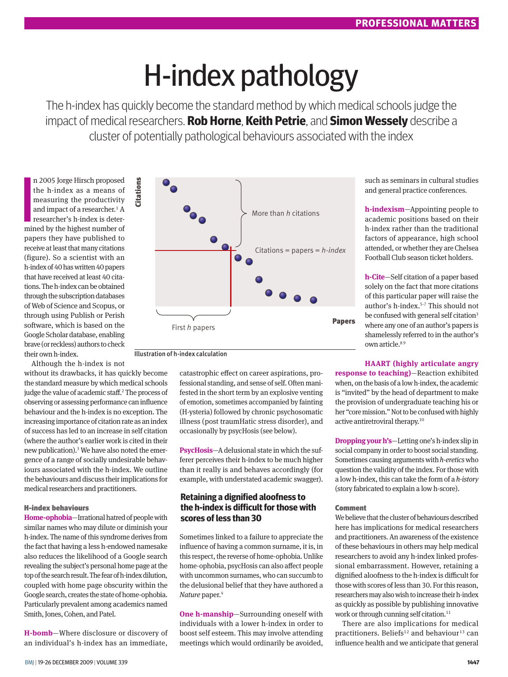# H-index pathology

The h-index has quickly become the standard method by which medical schools judge the impact of medical researchers. **Rob Horne**, **Keith Petrie**, and **Simon Wessely** describe a cluster of potentially pathological behaviours associated with the index

n 2005 Jorge Hirsch proposed<br>the h-index as a means of<br>measuring the productivity<br>and impact of a researcher.<sup>1</sup> A<br>researcher's h-index is deter-<br>mined by the highest number of n 2005 Jorge Hirsch proposed the h-index as a means of measuring the productivity and impact of a researcher.<sup>1</sup> A researcher's h-index is deterpapers they have published to receive at least that many citations (figure). So a scientist with an h-index of 40 has written 40 papers that have received at least 40 citations. The h-index can be obtained through the subscription databases of Web of Science and Scopus, or through using Publish or Perish software, which is based on the Google Scholar database, enabling brave (or reckless) authors to check their own h-index.

Although the h-index is not

without its drawbacks, it has quickly become the standard measure by which medical schools judge the value of academic staff.<sup>2</sup> The process of observing or assessing performance can influence behaviour and the h-index is no exception. The increasing importance of citation rate as an index of success has led to an increase in self citation (where the author's earlier work is cited in their new publication).3 We have also noted the emergence of a range of socially undesirable behaviours associated with the h-index. We outline the behaviours and discuss their implications for medical researchers and practitioners.

#### H-index behaviours

**Home-ophobia**—Irrational hatred of people with similar names who may dilute or diminish your h-index. The name of this syndrome derives from the fact that having a less h-endowed namesake also reduces the likelihood of a Google search revealing the subject's personal home page at the top of the search result. The fear of h-index dilution, coupled with home page obscurity within the Google search, creates the state of home-ophobia. Particularly prevalent among academics named Smith, Jones, Cohen, and Patel.

**H-bomb***—*Where disclosure or discovery of an individual's h-index has an immediate,



Illustration of h-index calculation

catastrophic effect on career aspirations, professional standing, and sense of self. Often manifested in the short term by an explosive venting of emotion, sometimes accompanied by fainting (H-ysteria) followed by chronic psychosomatic illness (post traumHatic stress disorder), and occasionally by psycHosis (see below).

**PsycHosis**—A delusional state in which the sufferer perceives their h-index to be much higher than it really is and behaves accordingly (for example, with understated academic swagger).

## **Retaining a dignified aloofness to the h-index is difficult for those with scores of less than 30**

Sometimes linked to a failure to appreciate the influence of having a common surname, it is, in this respect, the reverse of home-ophobia. Unlike home-ophobia, psycHosis can also affect people with uncommon surnames, who can succumb to the delusional belief that they have authored a *Nature* paper.4

**One h-manship***—*Surrounding oneself with individuals with a lower h-index in order to boost self esteem. This may involve attending meetings which would ordinarily be avoided,

such as seminars in cultural studies and general practice conferences.

**h-indexism**—Appointing people to academic positions based on their h-index rather than the traditional factors of appearance, high school attended, or whether they are Chelsea Football Club season ticket holders.

**h-Cite***—*Self citation of a paper based solely on the fact that more citations of this particular paper will raise the author's h-index.5-7 This should not be confused with general self citation<sup>3</sup> where any one of an author's papers is shamelessly referred to in the author's own article.<sup>89</sup>

#### **HAART (highly articulate angry**

**response to teaching)**—Reaction exhibited when, on the basis of a low h-index, the academic is "invited" by the head of department to make the provision of undergraduate teaching his or her "core mission." Not to be confused with highly active antiretroviral therapy.10

**Dropping your h's**—Letting one's h-index slip in social company in order to boost social standing. Sometimes causing arguments with *h-eretics* who question the validity of the index. For those with a low h-index, this can take the form of a *h-istory* (story fabricated to explain a low h-score).

#### Comment

We believe that the cluster of behaviours described here has implications for medical researchers and practitioners. An awareness of the existence of these behaviours in others may help medical researchers to avoid any h-index linked professional embarrassment. However, retaining a dignified aloofness to the h-index is difficult for those with scores of less than 30. For this reason, researchers may also wish to increase their h-index as quickly as possible by publishing innovative work or through cunning self citation.<sup>11</sup>

There are also implications for medical practitioners. Beliefs<sup>12</sup> and behaviour<sup>13</sup> can influence health and we anticipate that general